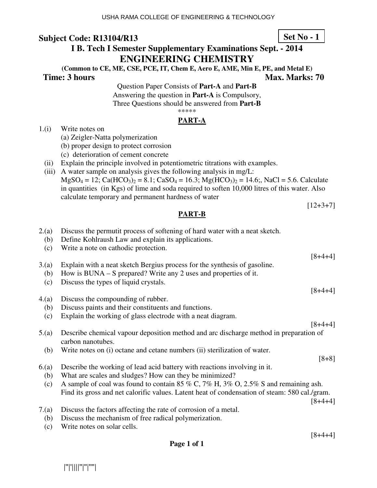# **I B. Tech I Semester Supplementary Examinations Sept. - 2014 ENGINEERING CHEMISTRY**

**(Common to CE, ME, CSE, PCE, IT, Chem E, Aero E, AME, Min E, PE, and Metal E) Time: 3 hours Max. Marks: 70 Max. Marks: 70** 

> Question Paper Consists of **Part-A** and **Part-B** Answering the question in **Part-A** is Compulsory, Three Questions should be answered from **Part-B** \*\*\*\*\*

### **PART-A**

- 1.(i) Write notes on
	- (a) Zeigler-Natta polymerization
	- (b) proper design to protect corrosion
	- (c) deterioration of cement concrete
- (ii) Explain the principle involved in potentiometric titrations with examples.

2.(a) Discuss the permutit process of softening of hard water with a neat sketch.

(iii) A water sample on analysis gives the following analysis in mg/L:

 $MgSO_4 = 12$ ; Ca(HCO<sub>3</sub>)<sub>2</sub> = 8.1; CaSO<sub>4</sub> = 16.3; Mg(HCO<sub>3</sub>)<sub>2</sub> = 14.6;, NaCl = 5.6. Calculate in quantities (in Kgs) of lime and soda required to soften 10,000 litres of this water. Also calculate temporary and permanent hardness of water

 $[12+3+7]$ 

| 'ART-1<br>$\overline{\phantom{a}}$<br>٠ |  |
|-----------------------------------------|--|
|                                         |  |
|                                         |  |

 (b) Define Kohlraush Law and explain its applications. (c) Write a note on cathodic protection.  $[8+4+4]$ 3.(a) Explain with a neat sketch Bergius process for the synthesis of gasoline. (b) How is BUNA – S prepared? Write any 2 uses and properties of it. (c) Discuss the types of liquid crystals. [8+4+4] 4.(a) Discuss the compounding of rubber. (b) Discuss paints and their constituents and functions. (c) Explain the working of glass electrode with a neat diagram.  $[8+4+4]$ 5.(a) Describe chemical vapour deposition method and arc discharge method in preparation of carbon nanotubes. (b) Write notes on (i) octane and cetane numbers (ii) sterilization of water. [8+8] 6.(a) Describe the working of lead acid battery with reactions involving in it. (b) What are scales and sludges? How can they be minimized? (c) A sample of coal was found to contain 85 % C, 7% H, 3% O, 2.5% S and remaining ash. Find its gross and net calorific values. Latent heat of condensation of steam: 580 cal./gram.  $[8+4+4]$ 7.(a) Discuss the factors affecting the rate of corrosion of a metal. (b) Discuss the mechanism of free radical polymerization.

(c) Write notes on solar cells.

|''|'||||''|''|''''|

#### **Set No - 1**

[8+4+4]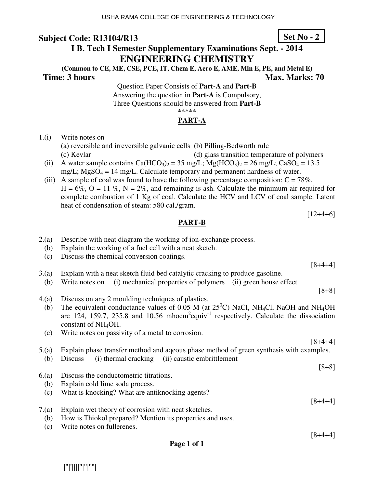# **I B. Tech I Semester Supplementary Examinations Sept. - 2014 ENGINEERING CHEMISTRY**

**(Common to CE, ME, CSE, PCE, IT, Chem E, Aero E, AME, Min E, PE, and Metal E) Time: 3 hours Max. Marks: 70 Max. Marks: 70** 

> Question Paper Consists of **Part-A** and **Part-B** Answering the question in **Part-A** is Compulsory, Three Questions should be answered from **Part-B** \*\*\*\*\*

### **PART-A**

1.(i) Write notes on

(a) reversible and irreversible galvanic cells (b) Pilling-Bedworth rule

(c) Kevlar (d) glass transition temperature of polymers

- (ii) A water sample contains  $Ca(HCO<sub>3</sub>)<sub>2</sub> = 35$  mg/L;  $Mg(HCO<sub>3</sub>)<sub>2</sub> = 26$  mg/L;  $CaSO<sub>4</sub> = 13.5$ mg/L;  $MgSO_4 = 14$  mg/L. Calculate temporary and permanent hardness of water.
- (iii) A sample of coal was found to have the following percentage composition:  $C = 78\%$ ,  $H = 6\%$ ,  $O = 11\%$ ,  $N = 2\%$ , and remaining is ash. Calculate the minimum air required for complete combustion of 1 Kg of coal. Calculate the HCV and LCV of coal sample. Latent heat of condensation of steam: 580 cal./gram.

**PART-B** 

- 2.(a) Describe with neat diagram the working of ion-exchange process.
	- (b) Explain the working of a fuel cell with a neat sketch.
	- (c) Discuss the chemical conversion coatings.
- 3.(a) Explain with a neat sketch fluid bed catalytic cracking to produce gasoline.
- (b) Write notes on (i) mechanical properties of polymers (ii) green house effect
- 4.(a) Discuss on any 2 moulding techniques of plastics.
	- (b) The equivalent conductance values of 0.05 M (at  $25^{\circ}$ C) NaCl, NH<sub>4</sub>Cl, NaOH and NH<sub>4</sub>OH are 124, 159.7, 235.8 and 10.56 mhocm<sup>2</sup>equiv<sup>-1</sup> respectively. Calculate the dissociation constant of NH4OH.
	- (c) Write notes on passivity of a metal to corrosion.

5.(a) Explain phase transfer method and aqeous phase method of green synthesis with examples.

- (b) Discuss (i) thermal cracking (ii) caustic embrittlement
- [8+8]
- 6.(a) Discuss the conductometric titrations. (b) Explain cold lime soda process.
	-
	- (c) What is knocking? What are antiknocking agents?
- 7.(a) Explain wet theory of corrosion with neat sketches.
	- (b) How is Thiokol prepared? Mention its properties and uses.
	- (c) Write notes on fullerenes. [8+4+4]

|''|'||||''|''|''''|

**Set No - 2**

[8+4+4]

 $[12+4+6]$ 

[8+4+4]

[8+8]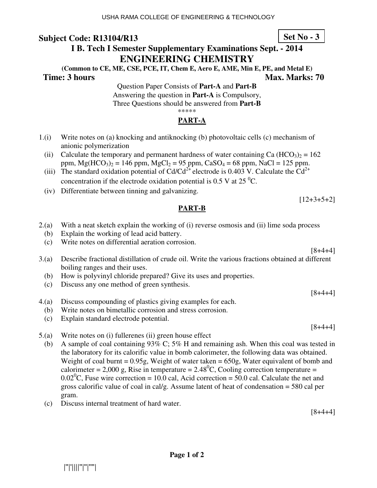# **I B. Tech I Semester Supplementary Examinations Sept. - 2014 ENGINEERING CHEMISTRY**

**(Common to CE, ME, CSE, PCE, IT, Chem E, Aero E, AME, Min E, PE, and Metal E) Time: 3 hours Max. Marks: 70 Max. Marks: 70** 

Question Paper Consists of **Part-A** and **Part-B** Answering the question in **Part-A** is Compulsory, Three Questions should be answered from **Part-B** \*\*\*\*\*

### **PART-A**

- 1.(i) Write notes on (a) knocking and antiknocking (b) photovoltaic cells (c) mechanism of anionic polymerization
	- (ii) Calculate the temporary and permanent hardness of water containing Ca  $(HCO<sub>3</sub>)<sub>2</sub> = 162$ ppm,  $Mg(HCO_3)_2 = 146$  ppm,  $MgCl_2 = 95$  ppm,  $CaSO_4 = 68$  ppm,  $NaCl = 125$  ppm.
	- (iii) The standard oxidation potential of Cd/Cd<sup>2+</sup> electrode is 0.403 V. Calculate the Cd<sup>2+</sup> concentration if the electrode oxidation potential is 0.5 V at 25 $^{0}$ C.
	- (iv) Differentiate between tinning and galvanizing.

#### **PART-B**

- 2.(a) With a neat sketch explain the working of (i) reverse osmosis and (ii) lime soda process
	- (b) Explain the working of lead acid battery.
	- (c) Write notes on differential aeration corrosion.
- 3.(a) Describe fractional distillation of crude oil. Write the various fractions obtained at different boiling ranges and their uses.
	- (b) How is polyvinyl chloride prepared? Give its uses and properties.
	- (c) Discuss any one method of green synthesis.
- 4.(a) Discuss compounding of plastics giving examples for each.
- (b) Write notes on bimetallic corrosion and stress corrosion.
- (c) Explain standard electrode potential.
- 5.(a) Write notes on (i) fullerenes (ii) green house effect
	- (b) A sample of coal containing 93% C; 5% H and remaining ash. When this coal was tested in the laboratory for its calorific value in bomb calorimeter, the following data was obtained. Weight of coal burnt =  $0.95g$ , Weight of water taken =  $650g$ , Water equivalent of bomb and calorimeter = 2,000 g, Rise in temperature =  $2.48^{\circ}$ C, Cooling correction temperature = 0.02<sup>0</sup>C, Fuse wire correction = 10.0 cal, Acid correction = 50.0 cal. Calculate the net and gross calorific value of coal in cal/g. Assume latent of heat of condensation = 580 cal per gram.
	- (c) Discuss internal treatment of hard water.

[8+4+4]

**Set No - 3**

[8+4+4]

 $[12+3+5+2]$ 

 $[8+4+4]$ 

 $[8+4+4]$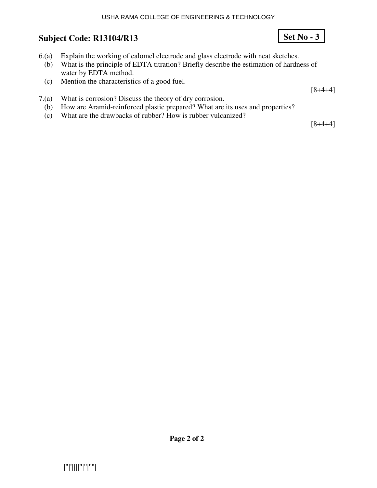#### USHA RAMA COLLEGE OF ENGINEERING & TECHNOLOGY

# **Subject Code: R13104/R13**

- 6.(a) Explain the working of calomel electrode and glass electrode with neat sketches.
	- (b) What is the principle of EDTA titration? Briefly describe the estimation of hardness of water by EDTA method.
	- (c) Mention the characteristics of a good fuel.
- 7.(a) What is corrosion? Discuss the theory of dry corrosion.
	- (b) How are Aramid-reinforced plastic prepared? What are its uses and properties?
	- (c) What are the drawbacks of rubber? How is rubber vulcanized?

 $[8+4+4]$ 

 $[8+4+4]$ 

**Set No - 3**